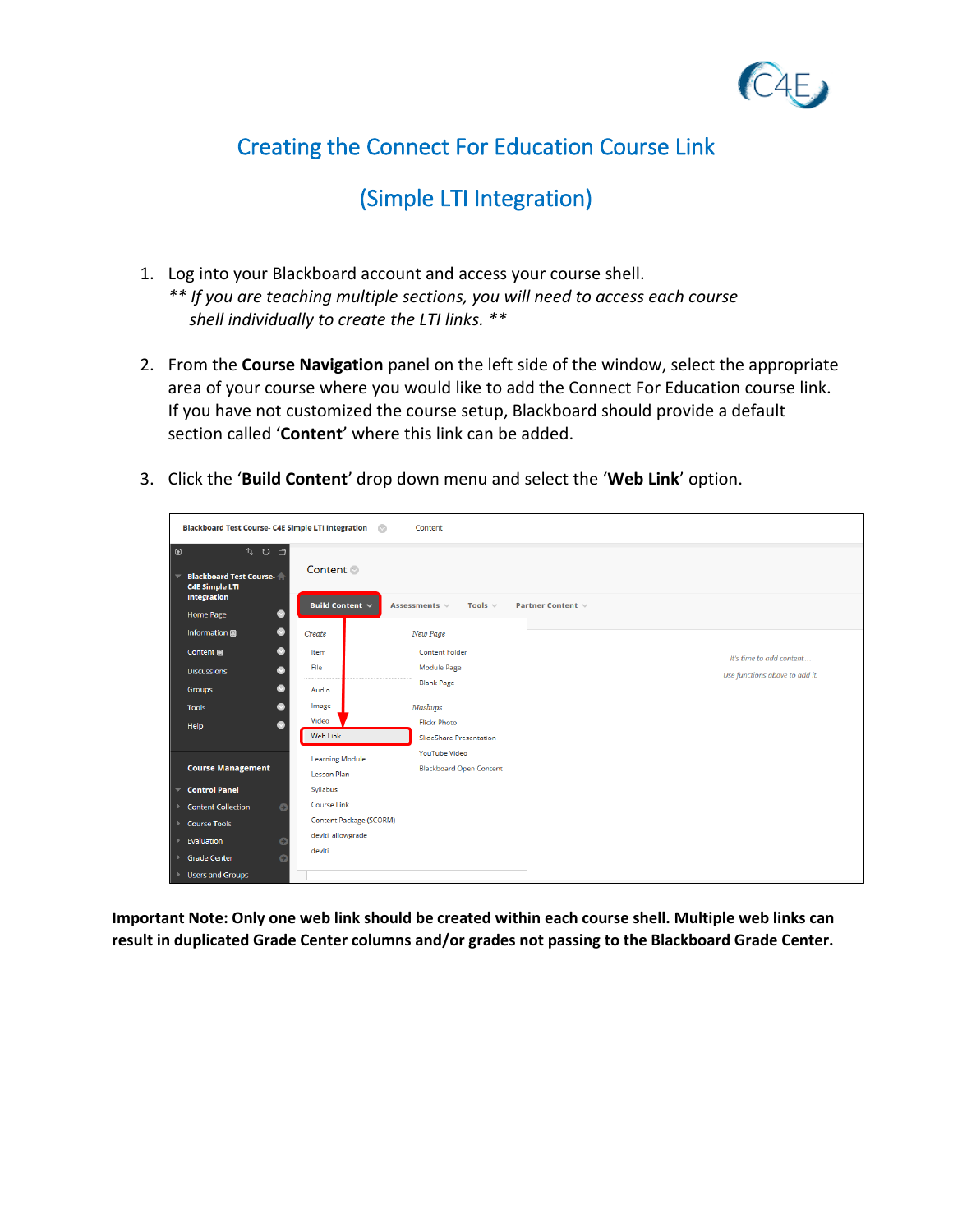

## Creating the Connect For Education Course Link

## (Simple LTI Integration)

- 1. Log into your Blackboard account and access your course shell. *\*\* If you are teaching multiple sections, you will need to access each course shell individually to create the LTI links. \*\**
- 2. From the **Course Navigation** panel on the left side of the window, select the appropriate area of your course where you would like to add the Connect For Education course link. If you have not customized the course setup, Blackboard should provide a default section called '**Content**' where this link can be added.
- 3. Click the '**Build Content**' drop down menu and select the '**Web Link**' option.

| Blackboard Test Course- C4E Simple LTI Integration<br>Content                                                  |                                              |                                                       |                                |
|----------------------------------------------------------------------------------------------------------------|----------------------------------------------|-------------------------------------------------------|--------------------------------|
| $T+O$ $\Box$<br>$\odot$<br><b>Blackboard Test Course-</b><br>$\overline{\phantom{a}}$<br><b>C4E Simple LTI</b> | Content ©                                    |                                                       |                                |
| Integration<br>ø<br><b>Home Page</b>                                                                           | <b>Build Content v</b>                       | Tools $\vee$<br>Assessments $\vee$                    | Partner Content $\vee$         |
| Information <b>m</b><br>●                                                                                      | Create                                       | New Page                                              |                                |
| Content <b>B</b><br>۰<br><b>Discussions</b><br>۰                                                               | Item<br>File                                 | <b>Content Folder</b><br><b>Module Page</b>           | It's time to add content       |
| ◉<br>Groups                                                                                                    | Audio                                        | <b>Blank Page</b>                                     | Use functions above to add it. |
| <b>Tools</b><br>o                                                                                              | Image                                        | Mashups                                               |                                |
| ۰<br>Help                                                                                                      | Video<br>Web Link                            | <b>Flickr Photo</b><br><b>SlideShare Presentation</b> |                                |
| <b>Course Management</b>                                                                                       | <b>Learning Module</b><br><b>Lesson Plan</b> | YouTube Video<br><b>Blackboard Open Content</b>       |                                |
| <b>Control Panel</b><br>$\overline{\phantom{0}}$                                                               | Syllabus                                     |                                                       |                                |
| <b>Content Collection</b><br>$\bullet$                                                                         | <b>Course Link</b>                           |                                                       |                                |
| <b>Course Tools</b>                                                                                            | Content Package (SCORM)                      |                                                       |                                |
| Evaluation<br>Θ                                                                                                | devlti_allowgrade<br>devlti                  |                                                       |                                |
| <b>Grade Center</b><br>$\epsilon$                                                                              |                                              |                                                       |                                |
| <b>Users and Groups</b>                                                                                        |                                              |                                                       |                                |

**Important Note: Only one web link should be created within each course shell. Multiple web links can result in duplicated Grade Center columns and/or grades not passing to the Blackboard Grade Center.**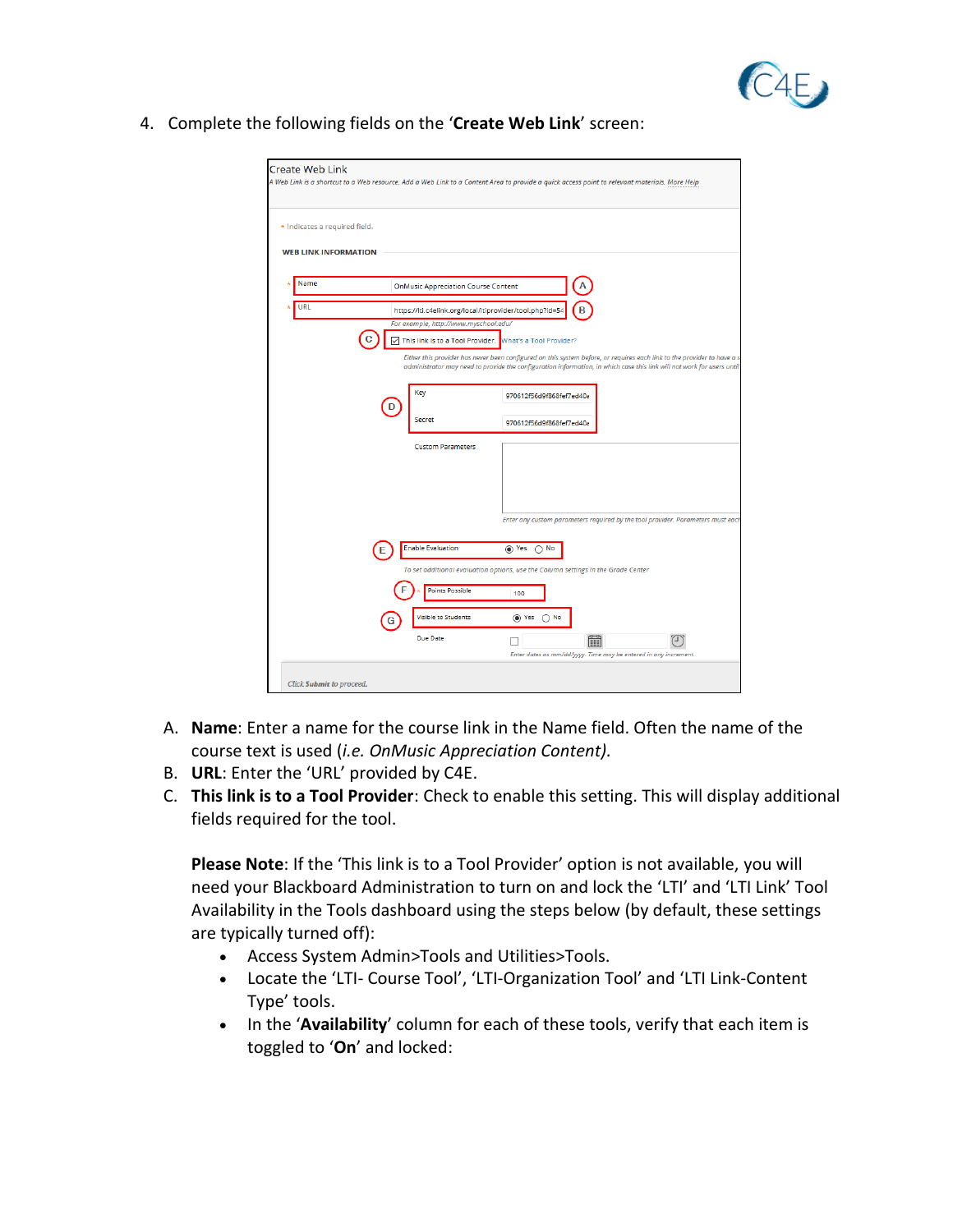

4. Complete the following fields on the '**Create Web Link**' screen:



- A. **Name**: Enter a name for the course link in the Name field. Often the name of the course text is used (*i.e. OnMusic Appreciation Content).*
- B. **URL**: Enter the 'URL' provided by C4E.
- C. **This link is to a Tool Provider**: Check to enable this setting. This will display additional fields required for the tool.

**Please Note**: If the 'This link is to a Tool Provider' option is not available, you will need your Blackboard Administration to turn on and lock the 'LTI' and 'LTI Link' Tool Availability in the Tools dashboard using the steps below (by default, these settings are typically turned off):

- Access System Admin>Tools and Utilities>Tools.
- Locate the 'LTI- Course Tool', 'LTI-Organization Tool' and 'LTI Link-Content Type' tools.
- In the '**Availability**' column for each of these tools, verify that each item is toggled to '**On**' and locked: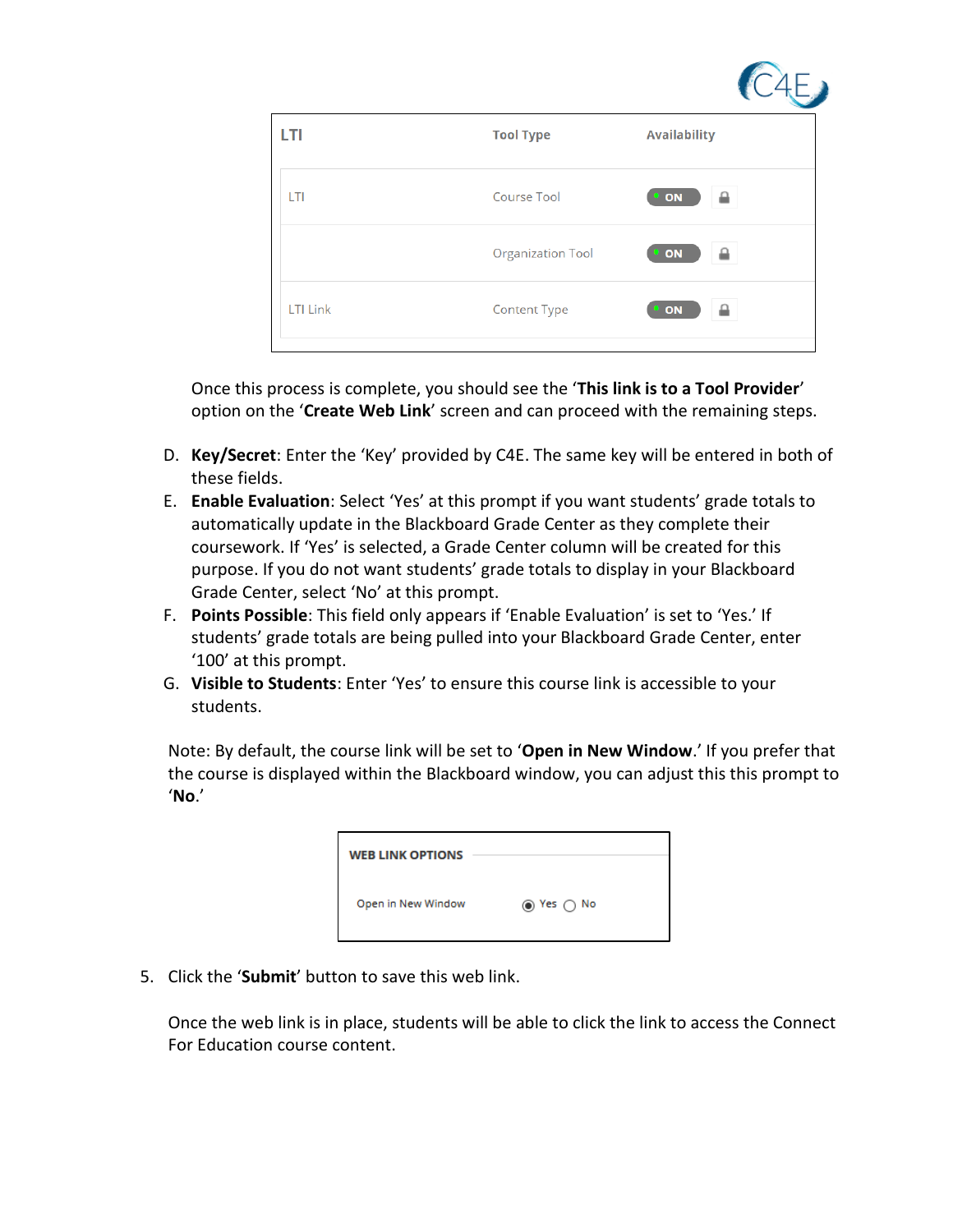| LTI             | <b>Tool Type</b>         | <b>Availability</b> |
|-----------------|--------------------------|---------------------|
| LTI             | <b>Course Tool</b>       | $^{\circ}$ ON       |
|                 | <b>Organization Tool</b> | $\bullet$ ON        |
| <b>LTI Link</b> | <b>Content Type</b>      | $^{\circ}$ ON       |

Once this process is complete, you should see the '**This link is to a Tool Provider**' option on the '**Create Web Link**' screen and can proceed with the remaining steps.

- D. **Key/Secret**: Enter the 'Key' provided by C4E. The same key will be entered in both of these fields.
- E. **Enable Evaluation**: Select 'Yes' at this prompt if you want students' grade totals to automatically update in the Blackboard Grade Center as they complete their coursework. If 'Yes' is selected, a Grade Center column will be created for this purpose. If you do not want students' grade totals to display in your Blackboard Grade Center, select 'No' at this prompt.
- F. **Points Possible**: This field only appears if 'Enable Evaluation' is set to 'Yes.' If students' grade totals are being pulled into your Blackboard Grade Center, enter '100' at this prompt.
- G. **Visible to Students**: Enter 'Yes' to ensure this course link is accessible to your students.

Note: By default, the course link will be set to '**Open in New Window**.' If you prefer that the course is displayed within the Blackboard window, you can adjust this this prompt to '**No**.'

| <b>WEB LINK OPTIONS</b> |                                  |
|-------------------------|----------------------------------|
| Open in New Window      | $\circledcirc$ Yes $\bigcirc$ No |

5. Click the '**Submit**' button to save this web link.

Once the web link is in place, students will be able to click the link to access the Connect For Education course content.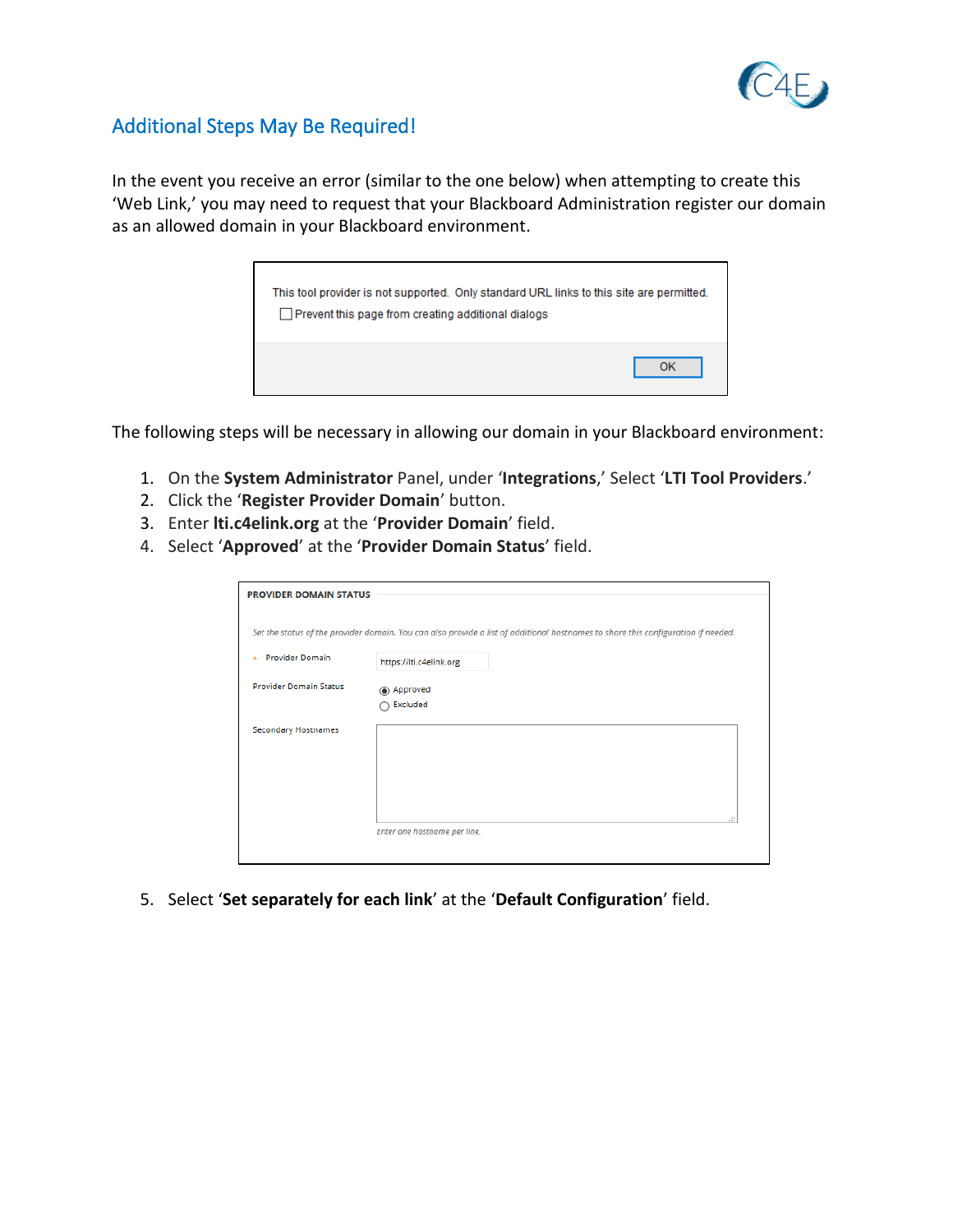

## Additional Steps May Be Required!

In the event you receive an error (similar to the one below) when attempting to create this 'Web Link,' you may need to request that your Blackboard Administration register our domain as an allowed domain in your Blackboard environment.

| This tool provider is not supported. Only standard URL links to this site are permitted.<br>Prevent this page from creating additional dialogs |    |
|------------------------------------------------------------------------------------------------------------------------------------------------|----|
|                                                                                                                                                | ок |

The following steps will be necessary in allowing our domain in your Blackboard environment:

- 1. On the **System Administrator** Panel, under '**Integrations**,' Select '**LTI Tool Providers**.'
- 2. Click the '**Register Provider Domain**' button.
- 3. Enter **lti.c4elink.org** at the '**Provider Domain**' field.
- 4. Select '**Approved**' at the '**Provider Domain Status**' field.

|                               | Set the status of the provider domain. You can also provide a list of additional hostnames to share this configuration if needed. |
|-------------------------------|-----------------------------------------------------------------------------------------------------------------------------------|
| * Provider Domain             | https://lti.c4elink.org                                                                                                           |
| <b>Provider Domain Status</b> | a Approved                                                                                                                        |
|                               | Excluded                                                                                                                          |
| <b>Secondary Hostnames</b>    |                                                                                                                                   |
|                               | $\cdot$                                                                                                                           |

5. Select '**Set separately for each link**' at the '**Default Configuration**' field.